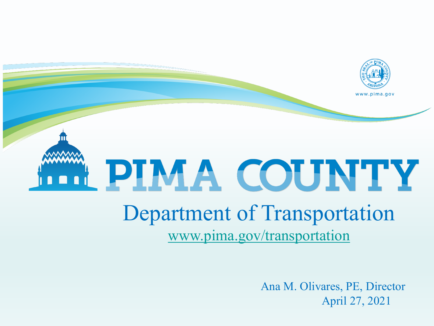

# PIMA COUNTY

## Department of Transportation [www.pima.gov/transportation](http://www.pima.gov/transportation)

Ana M. Olivares, PE, Director April 27, 2021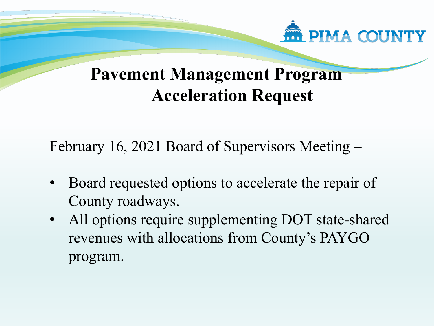

### **Pavement Management Program Acceleration Request**

February 16, 2021 Board of Supervisors Meeting –

- Board requested options to accelerate the repair of County roadways.
- All options require supplementing DOT state-shared revenues with allocations from County's PAYGO program.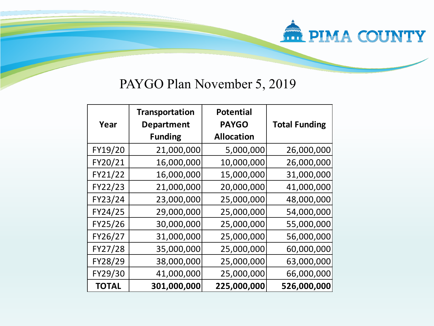#### PAYGO Plan November 5, 2019

**THE PIMA COUNTY** 

| Year         | <b>Transportation</b><br><b>Department</b><br><b>Funding</b> | <b>Potential</b><br><b>PAYGO</b><br><b>Allocation</b> | <b>Total Funding</b> |
|--------------|--------------------------------------------------------------|-------------------------------------------------------|----------------------|
| FY19/20      | 21,000,000                                                   | 5,000,000                                             | 26,000,000           |
| FY20/21      | 16,000,000                                                   | 10,000,000                                            | 26,000,000           |
| FY21/22      | 16,000,000                                                   | 15,000,000                                            | 31,000,000           |
| FY22/23      | 21,000,000                                                   | 20,000,000                                            | 41,000,000           |
| FY23/24      | 23,000,000                                                   | 25,000,000                                            | 48,000,000           |
| FY24/25      | 29,000,000                                                   | 25,000,000                                            | 54,000,000           |
| FY25/26      | 30,000,000                                                   | 25,000,000                                            | 55,000,000           |
| FY26/27      | 31,000,000                                                   | 25,000,000                                            | 56,000,000           |
| FY27/28      | 35,000,000                                                   | 25,000,000                                            | 60,000,000           |
| FY28/29      | 38,000,000                                                   | 25,000,000                                            | 63,000,000           |
| FY29/30      | 41,000,000                                                   | 25,000,000                                            | 66,000,000           |
| <b>TOTAL</b> | 301,000,000                                                  | 225,000,000                                           | 526,000,000          |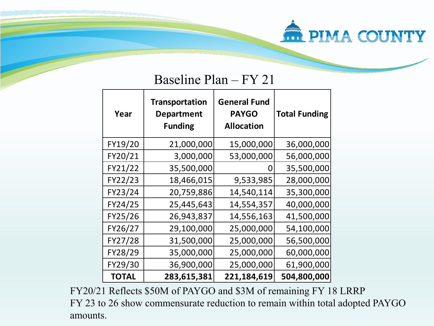## **FRIMA COUNTY**

#### Baseline Plan – FY 21

| Year         | <b>Transportation</b><br><b>Department</b><br><b>Funding</b> | <b>General Fund</b><br><b>PAYGO</b><br><b>Allocation</b> | <b>Total Funding</b> |
|--------------|--------------------------------------------------------------|----------------------------------------------------------|----------------------|
| FY19/20      | 21,000,000                                                   | 15,000,000                                               | 36,000,000           |
| FY20/21      | 3,000,000                                                    | 53,000,000                                               | 56,000,000           |
| FY21/22      | 35,500,000                                                   | O                                                        | 35,500,000           |
| FY22/23      | 18,466,015                                                   | 9,533,985                                                | 28,000,000           |
| FY23/24      | 20,759,886                                                   | 14,540,114                                               | 35,300,000           |
| FY24/25      | 25,445,643                                                   | 14,554,357                                               | 40,000,000           |
| FY25/26      | 26,943,837                                                   | 14,556,163                                               | 41,500,000           |
| FY26/27      | 29,100,000                                                   | 25,000,000                                               | 54,100,000           |
| FY27/28      | 31,500,000                                                   | 25,000,000                                               | 56,500,000           |
| FY28/29      | 35,000,000                                                   | 25,000,000                                               | 60,000,000           |
| FY29/30      | 36,900,000                                                   | 25,000,000                                               | 61,900,000           |
| <b>TOTAL</b> | 283,615,381                                                  | 221,184,619                                              | 504,800,000          |

FY20/21 Reflects \$50M of PAYGO and \$3M of remaining FY 18 LRRP FY 23 to 26 show commensurate reduction to remain within total adopted PAYGO amounts.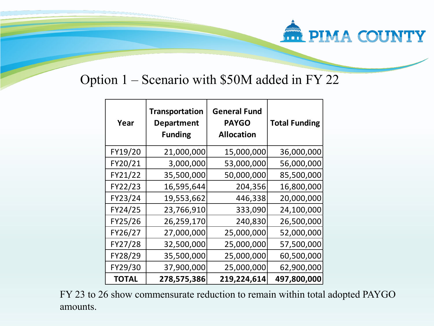# **ATT PIMA COUNTY**

#### Option 1 – Scenario with \$50M added in FY 22

| Year         | <b>Transportation</b><br><b>Department</b><br><b>Funding</b> | <b>General Fund</b><br><b>PAYGO</b><br><b>Allocation</b> | <b>Total Funding</b> |
|--------------|--------------------------------------------------------------|----------------------------------------------------------|----------------------|
| FY19/20      | 21,000,000                                                   | 15,000,000                                               | 36,000,000           |
| FY20/21      | 3,000,000                                                    | 53,000,000                                               | 56,000,000           |
| FY21/22      | 35,500,000                                                   | 50,000,000                                               | 85,500,000           |
| FY22/23      | 16,595,644                                                   | 204,356                                                  | 16,800,000           |
| FY23/24      | 19,553,662                                                   | 446,338                                                  | 20,000,000           |
| FY24/25      | 23,766,910                                                   | 333,090                                                  | 24,100,000           |
| FY25/26      | 26,259,170                                                   | 240,830                                                  | 26,500,000           |
| FY26/27      | 27,000,000                                                   | 25,000,000                                               | 52,000,000           |
| FY27/28      | 32,500,000                                                   | 25,000,000                                               | 57,500,000           |
| FY28/29      | 35,500,000                                                   | 25,000,000                                               | 60,500,000           |
| FY29/30      | 37,900,000                                                   | 25,000,000                                               | 62,900,000           |
| <b>TOTAL</b> | 278,575,386                                                  | 219,224,614                                              | 497,800,000          |

FY 23 to 26 show commensurate reduction to remain within total adopted PAYGO amounts.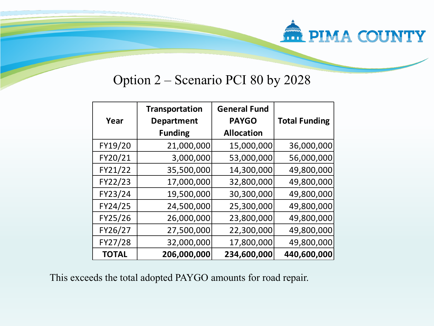

#### Option 2 – Scenario PCI 80 by 2028

| Year         | <b>Transportation</b><br><b>Department</b> | <b>General Fund</b><br><b>PAYGO</b> | <b>Total Funding</b> |
|--------------|--------------------------------------------|-------------------------------------|----------------------|
|              | <b>Funding</b>                             | <b>Allocation</b>                   |                      |
| FY19/20      | 21,000,000                                 | 15,000,000                          | 36,000,000           |
| FY20/21      | 3,000,000                                  | 53,000,000                          | 56,000,000           |
| FY21/22      | 35,500,000                                 | 14,300,000                          | 49,800,000           |
| FY22/23      | 17,000,000                                 | 32,800,000                          | 49,800,000           |
| FY23/24      | 19,500,000                                 | 30,300,000                          | 49,800,000           |
| FY24/25      | 24,500,000                                 | 25,300,000                          | 49,800,000           |
| FY25/26      | 26,000,000                                 | 23,800,000                          | 49,800,000           |
| FY26/27      | 27,500,000                                 | 22,300,000                          | 49,800,000           |
| FY27/28      | 32,000,000                                 | 17,800,000                          | 49,800,000           |
| <b>TOTAL</b> | 206,000,000                                | 234,600,000                         | 440,600,000          |

This exceeds the total adopted PAYGO amounts for road repair.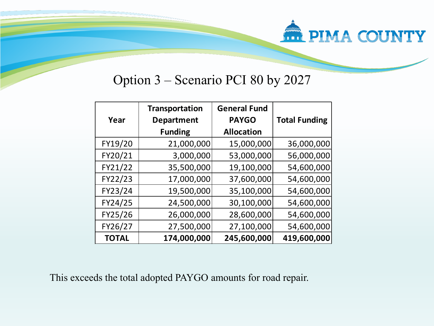# **WITH PIMA COUNTY**

#### Option 3 – Scenario PCI 80 by 2027

|              | Transportation    | <b>General Fund</b> |                      |
|--------------|-------------------|---------------------|----------------------|
| Year         | <b>Department</b> | <b>PAYGO</b>        | <b>Total Funding</b> |
|              | <b>Funding</b>    | <b>Allocation</b>   |                      |
| FY19/20      | 21,000,000        | 15,000,000          | 36,000,000           |
| FY20/21      | 3,000,000         | 53,000,000          | 56,000,000           |
| FY21/22      | 35,500,000        | 19,100,000          | 54,600,000           |
| FY22/23      | 17,000,000        | 37,600,000          | 54,600,000           |
| FY23/24      | 19,500,000        | 35,100,000          | 54,600,000           |
| FY24/25      | 24,500,000        | 30,100,000          | 54,600,000           |
| FY25/26      | 26,000,000        | 28,600,000          | 54,600,000           |
| FY26/27      | 27,500,000        | 27,100,000          | 54,600,000           |
| <b>TOTAL</b> | 174,000,000       | 245,600,000         | 419,600,000          |

This exceeds the total adopted PAYGO amounts for road repair.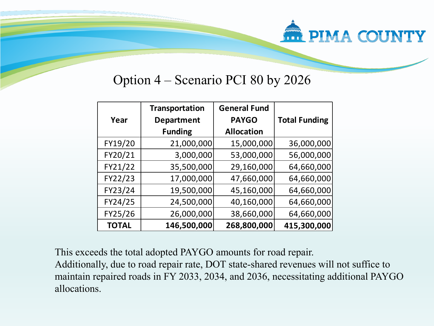# **FRIMA COUNTY**

#### Option 4 – Scenario PCI 80 by 2026

|              | <b>Transportation</b> | <b>General Fund</b> |                      |
|--------------|-----------------------|---------------------|----------------------|
| Year         | <b>Department</b>     | <b>PAYGO</b>        | <b>Total Funding</b> |
|              | <b>Funding</b>        | <b>Allocation</b>   |                      |
| FY19/20      | 21,000,000            | 15,000,000          | 36,000,000           |
| FY20/21      | 3,000,000             | 53,000,000          | 56,000,000           |
| FY21/22      | 35,500,000            | 29,160,000          | 64,660,000           |
| FY22/23      | 17,000,000            | 47,660,000          | 64,660,000           |
| FY23/24      | 19,500,000            | 45,160,000          | 64,660,000           |
| FY24/25      | 24,500,000            | 40,160,000          | 64,660,000           |
| FY25/26      | 26,000,000            | 38,660,000          | 64,660,000           |
| <b>TOTAL</b> | 146,500,000           | 268,800,000         | 415,300,000          |

This exceeds the total adopted PAYGO amounts for road repair.

Additionally, due to road repair rate, DOT state-shared revenues will not suffice to maintain repaired roads in FY 2033, 2034, and 2036, necessitating additional PAYGO allocations.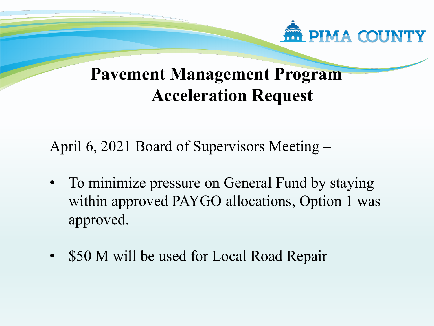

### **Pavement Management Program Acceleration Request**

April 6, 2021 Board of Supervisors Meeting –

- To minimize pressure on General Fund by staying within approved PAYGO allocations, Option 1 was approved.
- \$50 M will be used for Local Road Repair